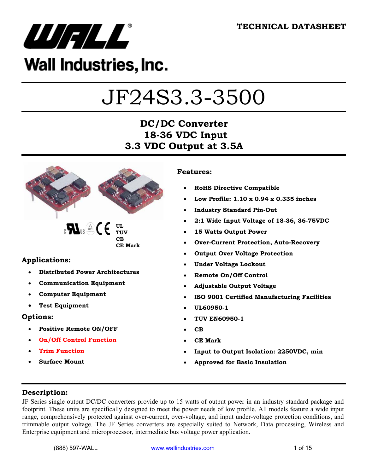

# Wall Industries, Inc.

# JF24S3.3-3500

## **DC/DC Converter 18-36 VDC Input 3.3 VDC Output at 3.5A**



#### **Applications:**

- **Distributed Power Architectures**
- **Communication Equipment**
- **Computer Equipment**
- **Test Equipment**

#### **Options:**

- **Positive Remote ON/OFF**
- **On/Off Control Function**
- **Trim Function**
- **Surface Mount**

#### **Features:**

- **RoHS Directive Compatible**
- **Low Profile: 1.10 x 0.94 x 0.335 inches**
- **Industry Standard Pin-Out**
- **2:1 Wide Input Voltage of 18-36, 36-75VDC**
- **15 Watts Output Power**
- **Over-Current Protection, Auto-Recovery**
- **Output Over Voltage Protection**
- **Under Voltage Lockout**
- **Remote On/Off Control**
- **Adjustable Output Voltage**
- **ISO 9001 Certified Manufacturing Facilities**
- **UL60950-1**
- **TUV EN60950-1**
- **CB**
- **CE Mark**
- **Input to Output Isolation: 2250VDC, min**
- **Approved for Basic Insulation**

#### **Description:**

JF Series single output DC/DC converters provide up to 15 watts of output power in an industry standard package and footprint. These units are specifically designed to meet the power needs of low profile. All models feature a wide input range, comprehensively protected against over-current, over-voltage, and input under-voltage protection conditions, and trimmable output voltage. The JF Series converters are especially suited to Network, Data processing, Wireless and Enterprise equipment and microprocessor, intermediate bus voltage power application.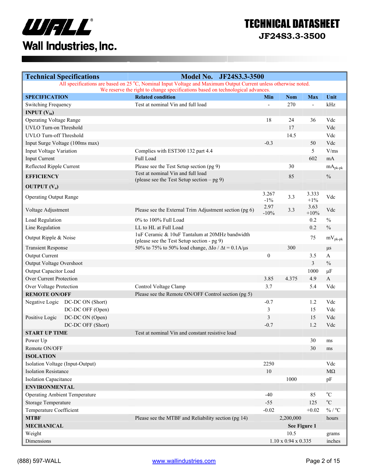

# TECHNICAL DATASHEET

**JF24S3.3-3500** 

| <b>Technical Specifications</b>                                                                                                                                                                   |                                 | <b>Model No.</b><br>JF24S3.3-3500                                                            |                  |                                 |                 |                     |
|---------------------------------------------------------------------------------------------------------------------------------------------------------------------------------------------------|---------------------------------|----------------------------------------------------------------------------------------------|------------------|---------------------------------|-----------------|---------------------|
| All specifications are based on 25 °C, Nominal Input Voltage and Maximum Output Current unless otherwise noted.<br>We reserve the right to change specifications based on technological advances. |                                 |                                                                                              |                  |                                 |                 |                     |
| <b>SPECIFICATION</b>                                                                                                                                                                              |                                 | <b>Related condition</b>                                                                     | Min              | <b>Nom</b>                      | <b>Max</b>      | Unit                |
| Switching Frequency                                                                                                                                                                               |                                 | Test at nominal Vin and full load                                                            | $\overline{a}$   | 270                             | $\overline{a}$  | kHz                 |
| <b>INPUT</b> $(V_{in})$                                                                                                                                                                           |                                 |                                                                                              |                  |                                 |                 |                     |
| <b>Operating Voltage Range</b>                                                                                                                                                                    |                                 |                                                                                              | 18               | 24                              | 36              | Vdc                 |
| UVLO Turn-on Threshold                                                                                                                                                                            |                                 |                                                                                              |                  | 17                              |                 | Vdc                 |
| UVLO Turn-off Threshold                                                                                                                                                                           |                                 |                                                                                              |                  | 14.5                            |                 | Vdc                 |
|                                                                                                                                                                                                   | Input Surge Voltage (100ms max) |                                                                                              | $-0.3$           |                                 | 50              | Vdc                 |
| Input Voltage Variation                                                                                                                                                                           |                                 | Complies with EST300 132 part 4.4                                                            |                  |                                 | 5               | V/ms                |
| <b>Input Current</b>                                                                                                                                                                              |                                 | Full Load                                                                                    |                  |                                 | 602             | mA                  |
| Reflected Ripple Current                                                                                                                                                                          |                                 | Please see the Test Setup section (pg 9)                                                     |                  | 30                              |                 | $mA_{pk\text{-}pk}$ |
| <b>EFFICIENCY</b>                                                                                                                                                                                 |                                 | Test at nominal Vin and full load                                                            |                  | 85                              |                 | $\frac{0}{0}$       |
|                                                                                                                                                                                                   |                                 | (please see the Test Setup section $-$ pg 9)                                                 |                  |                                 |                 |                     |
| <b>OUTPUT</b> $(V_0)$                                                                                                                                                                             |                                 |                                                                                              |                  |                                 |                 |                     |
| <b>Operating Output Range</b>                                                                                                                                                                     |                                 |                                                                                              | 3.267<br>$-1\%$  | 3.3                             | 3.333<br>$+1\%$ | Vdc                 |
| Voltage Adjustment                                                                                                                                                                                |                                 | Please see the External Trim Adjustment section (pg 6)                                       | 2.97<br>$-10%$   | 3.3                             | 3.63<br>$+10%$  | Vdc                 |
| Load Regulation                                                                                                                                                                                   |                                 | 0% to 100% Full Load                                                                         |                  |                                 | 0.2             | $\%$                |
| Line Regulation                                                                                                                                                                                   |                                 | LL to HL at Full Load                                                                        |                  |                                 | 0.2             | $\%$                |
| Output Ripple & Noise                                                                                                                                                                             |                                 | 1uF Ceramic & 10uF Tantalum at 20MHz bandwidth<br>(please see the Test Setup section - pg 9) |                  |                                 | 75              | $mV_{pk-pk}$        |
| <b>Transient Response</b>                                                                                                                                                                         |                                 | 50% to 75% to 50% load change, $\Delta$ Io / $\Delta$ t = 0.1A/ $\mu$ s                      |                  | 300                             |                 | $\mu s$             |
| <b>Output Current</b>                                                                                                                                                                             |                                 |                                                                                              | $\boldsymbol{0}$ |                                 | 3.5             | A                   |
| Output Voltage Overshoot                                                                                                                                                                          |                                 |                                                                                              |                  |                                 | $\overline{3}$  | $\%$                |
| Output Capacitor Load                                                                                                                                                                             |                                 |                                                                                              |                  |                                 | 1000            | $\mu$ F             |
| Over Current Protection                                                                                                                                                                           |                                 |                                                                                              | 3.85             | 4.375                           | 4.9             | $\mathbf{A}$        |
| Over Voltage Protection                                                                                                                                                                           |                                 | Control Voltage Clamp                                                                        | 3.7              |                                 | 5.4             | Vdc                 |
| <b>REMOTE ON/OFF</b>                                                                                                                                                                              |                                 | Please see the Remote ON/OFF Control section (pg 5)                                          |                  |                                 |                 |                     |
|                                                                                                                                                                                                   | Negative Logic DC-DC ON (Short) |                                                                                              | $-0.7$           |                                 | 1.2             | Vdc                 |
|                                                                                                                                                                                                   | DC-DC OFF (Open)                |                                                                                              | 3                |                                 | 15              | Vdc                 |
| Positive Logic                                                                                                                                                                                    | DC-DC ON (Open)                 |                                                                                              | 3                |                                 | 15              | Vdc                 |
|                                                                                                                                                                                                   | DC-DC OFF (Short)               |                                                                                              | $-0.7$           |                                 | 1.2             | Vdc                 |
| <b>START UP TIME</b>                                                                                                                                                                              |                                 | Test at nominal Vin and constant resistive load                                              |                  |                                 |                 |                     |
| Power Up                                                                                                                                                                                          |                                 |                                                                                              |                  |                                 | 30              | ms                  |
| Remote ON/OFF                                                                                                                                                                                     |                                 |                                                                                              |                  |                                 | 30              | ms                  |
| <b>ISOLATION</b>                                                                                                                                                                                  |                                 |                                                                                              |                  |                                 |                 |                     |
| Isolation Voltage (Input-Output)                                                                                                                                                                  |                                 |                                                                                              | 2250             |                                 |                 | Vdc                 |
| <b>Isolation Resistance</b>                                                                                                                                                                       |                                 |                                                                                              | 10               |                                 |                 | $\rm M\Omega$       |
| <b>Isolation Capacitance</b>                                                                                                                                                                      |                                 |                                                                                              |                  | 1000                            |                 | pF                  |
| <b>ENVIRONMENTAL</b>                                                                                                                                                                              |                                 |                                                                                              |                  |                                 |                 |                     |
| <b>Operating Ambient Temperature</b>                                                                                                                                                              |                                 |                                                                                              | $-40$            |                                 | 85              | $^{\circ}C$         |
| Storage Temperature                                                                                                                                                                               |                                 |                                                                                              | $-55$            |                                 | 125             | $\rm ^{o}C$         |
| Temperature Coefficient                                                                                                                                                                           |                                 |                                                                                              | $-0.02$          |                                 | $+0.02$         | % / $^{\circ}$ C    |
| <b>MTBF</b>                                                                                                                                                                                       |                                 | Please see the MTBF and Reliability section (pg 14)                                          |                  | 2,200,000                       |                 | hours               |
| <b>MECHANICAL</b>                                                                                                                                                                                 |                                 |                                                                                              |                  | See Figure 1                    |                 |                     |
| Weight                                                                                                                                                                                            |                                 |                                                                                              |                  | 10.5                            |                 | grams               |
| Dimensions                                                                                                                                                                                        |                                 |                                                                                              |                  | $1.10 \times 0.94 \times 0.335$ |                 | inches              |
|                                                                                                                                                                                                   |                                 |                                                                                              |                  |                                 |                 |                     |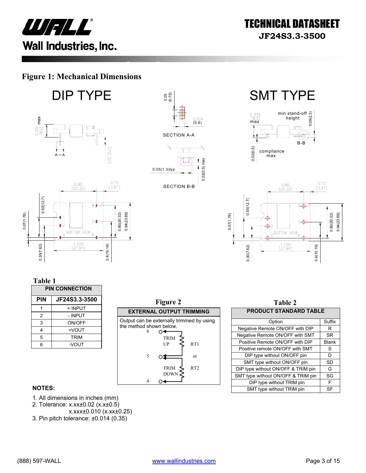

### **Figure 1: Mechanical Dimensions**

**DIP TYPE**  $\begin{bmatrix} \vdots \end{bmatrix}$  SMT TYPE



0.4(10.16)









**Table 1** 

0.30(7.62)

| <b>PIN CONNECTION</b> |               |  |
|-----------------------|---------------|--|
| PIN                   | JF24S3.3-3500 |  |
|                       | + INPUT       |  |
| 2                     | - INPUT       |  |
| 3                     | ON/OFF        |  |
| 4                     | +VOUT         |  |
| 5                     | <b>TRIM</b>   |  |
| 6                     | -VOUT         |  |



| Table 2                            |              |  |  |
|------------------------------------|--------------|--|--|
| <b>PRODUCT STANDARD TABLE</b>      |              |  |  |
| Option                             | Suffix       |  |  |
| Negative Remote ON/OFF with DIP    | R            |  |  |
| Negative Remote ON/OFF with SMT    | <b>SR</b>    |  |  |
| Positive Remote ON/OFF with DIP    | <b>Blank</b> |  |  |
| Positive remote ON/OFF with SMT    | S            |  |  |
| DIP type without ON/OFF pin        | D            |  |  |
| SMT type without ON/OFF pin        | SD           |  |  |
| DIP type without ON/OFF & TRIM pin | G            |  |  |
| SMT type without ON/OFF & TRIM pin | SG           |  |  |
| DIP type without TRIM pin          | F            |  |  |
| SMT type without TRIM pin          | SF           |  |  |

#### **NOTES:**

- 1. All dimensions in inches (mm)
- 2. Tolerance: x.xx±0.02 (x.x±0.5)
- x.xxx±0.010 (x.xx±0.25)
- 3. Pin pitch tolerance: ±0.014 (0.35)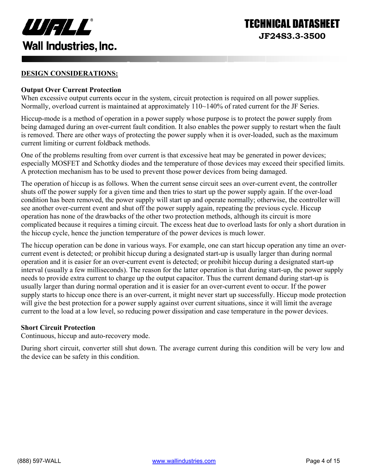

#### **DESIGN CONSIDERATIONS:**

#### **Output Over Current Protection**

When excessive output currents occur in the system, circuit protection is required on all power supplies. Normally, overload current is maintained at approximately 110~140% of rated current for the JF Series.

Hiccup-mode is a method of operation in a power supply whose purpose is to protect the power supply from being damaged during an over-current fault condition. It also enables the power supply to restart when the fault is removed. There are other ways of protecting the power supply when it is over-loaded, such as the maximum current limiting or current foldback methods.

One of the problems resulting from over current is that excessive heat may be generated in power devices; especially MOSFET and Schottky diodes and the temperature of those devices may exceed their specified limits. A protection mechanism has to be used to prevent those power devices from being damaged.

The operation of hiccup is as follows. When the current sense circuit sees an over-current event, the controller shuts off the power supply for a given time and then tries to start up the power supply again. If the over-load condition has been removed, the power supply will start up and operate normally; otherwise, the controller will see another over-current event and shut off the power supply again, repeating the previous cycle. Hiccup operation has none of the drawbacks of the other two protection methods, although its circuit is more complicated because it requires a timing circuit. The excess heat due to overload lasts for only a short duration in the hiccup cycle, hence the junction temperature of the power devices is much lower.

The hiccup operation can be done in various ways. For example, one can start hiccup operation any time an overcurrent event is detected; or prohibit hiccup during a designated start-up is usually larger than during normal operation and it is easier for an over-current event is detected; or prohibit hiccup during a designated start-up interval (usually a few milliseconds). The reason for the latter operation is that during start-up, the power supply needs to provide extra current to charge up the output capacitor. Thus the current demand during start-up is usually larger than during normal operation and it is easier for an over-current event to occur. If the power supply starts to hiccup once there is an over-current, it might never start up successfully. Hiccup mode protection will give the best protection for a power supply against over current situations, since it will limit the average current to the load at a low level, so reducing power dissipation and case temperature in the power devices.

#### **Short Circuit Protection**

Continuous, hiccup and auto-recovery mode.

During short circuit, converter still shut down. The average current during this condition will be very low and the device can be safety in this condition.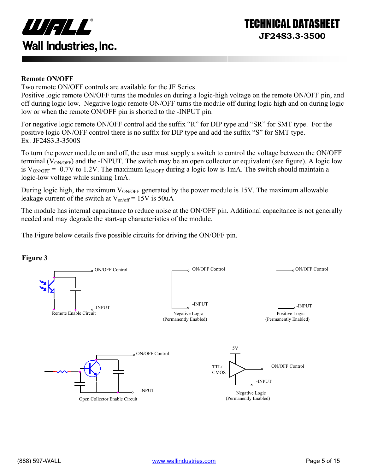

#### **Remote ON/OFF**

Two remote ON/OFF controls are available for the JF Series

Positive logic remote ON/OFF turns the modules on during a logic-high voltage on the remote ON/OFF pin, and off during logic low. Negative logic remote ON/OFF turns the module off during logic high and on during logic low or when the remote ON/OFF pin is shorted to the -INPUT pin.

For negative logic remote ON/OFF control add the suffix "R" for DIP type and "SR" for SMT type. For the positive logic ON/OFF control there is no suffix for DIP type and add the suffix "S" for SMT type. Ex: JF24S3.3-3500S

To turn the power module on and off, the user must supply a switch to control the voltage between the ON/OFF terminal ( $V_{\text{ONOFF}}$ ) and the -INPUT. The switch may be an open collector or equivalent (see figure). A logic low is  $V_{\text{ON/OFF}}$  = -0.7V to 1.2V. The maximum  $I_{\text{ON/OFF}}$  during a logic low is 1mA. The switch should maintain a logic-low voltage while sinking 1mA.

During logic high, the maximum  $V_{ON/OFF}$  generated by the power module is 15V. The maximum allowable leakage current of the switch at  $V_{on/off} = 15V$  is 50uA

The module has internal capacitance to reduce noise at the ON/OFF pin. Additional capacitance is not generally needed and may degrade the start-up characteristics of the module.

The Figure below details five possible circuits for driving the ON/OFF pin.



#### **Figure 3**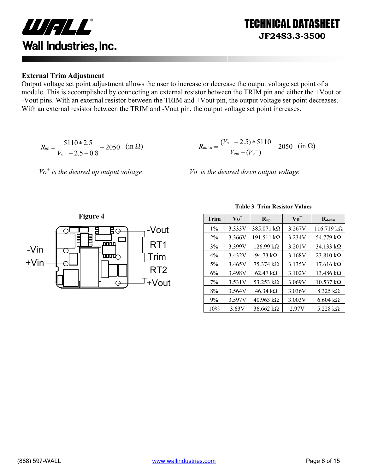

#### **External Trim Adjustment**

Output voltage set point adjustment allows the user to increase or decrease the output voltage set point of a module. This is accomplished by connecting an external resistor between the TRIM pin and either the +Vout or -Vout pins. With an external resistor between the TRIM and +Vout pin, the output voltage set point decreases. With an external resistor between the TRIM and -Vout pin, the output voltage set point increases.

$$
R_{up} = \frac{5110 * 2.5}{V_o^+ - 2.5 - 0.8} - 2050 \quad \text{(in } \Omega\text{)}
$$



*Vo+ is the desired up output voltage Vo-*

 *is the desired down output voltage* 



**Table 3 Trim Resistor Values**

TECHNICAL DATASHEET

**JF24S3.3-3500** 

| Trim  | $\mathbf{V_0}^+$ | $R_{up}$                 | Vo -   | $R_{down}$                |
|-------|------------------|--------------------------|--------|---------------------------|
| $1\%$ | 3.333V           | 385.071 $k\Omega$        | 3.267V | $116.719 \text{ k}\Omega$ |
| $2\%$ | 3.366V           | $191.511 k\Omega$        | 3.234V | 54.779 $k\Omega$          |
| 3%    | 3.399V           | $126.99 k\Omega$         | 3.201V | $34.133 k\Omega$          |
| $4\%$ | 3.432V           | 94.73 $k\Omega$          | 3.168V | $23.810 k\Omega$          |
| $5\%$ | 3.465V           | $75.374 \text{ k}\Omega$ | 3.135V | $17.616 \text{ k}\Omega$  |
| 6%    | 3.498V           | 62.47 $k\Omega$          | 3.102V | 13.486 $k\Omega$          |
| $7\%$ | 3.531V           | 53.253 $k\Omega$         | 3.069V | $10.537 k\Omega$          |
| 8%    | 3.564V           | 46.34 k $\Omega$         | 3.036V | $8.325 k\Omega$           |
| 9%    | 3.597V           | $40.963 \text{ k}\Omega$ | 3.003V | $6.604 \text{ k}\Omega$   |
| 10%   | 3.63V            | $36.662 k\Omega$         | 2.97V  | 5.228 $k\Omega$           |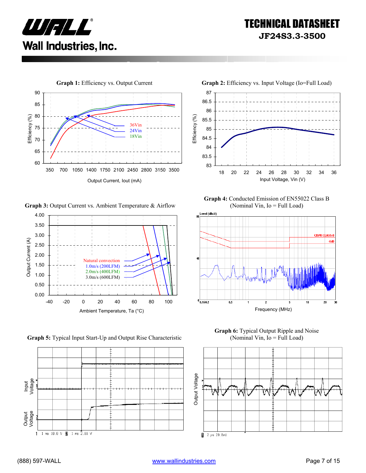



**Graph 3:** Output Current vs. Ambient Temperature & Airflow



**Graph 5:** Typical Input Start-Up and Output Rise Characteristic





**Graph 4:** Conducted Emission of EN55022 Class B (Nominal Vin, Io = Full Load)



**Graph 6:** Typical Output Ripple and Noise (Nominal Vin, Io = Full Load)

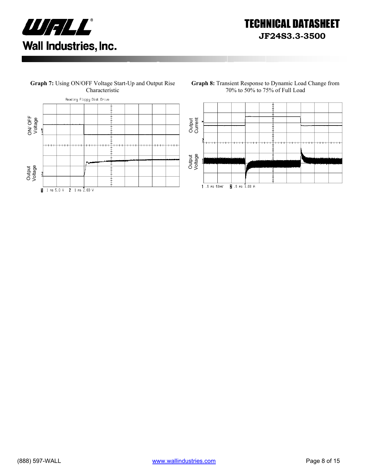



**Graph 7:** Using ON/OFF Voltage Start-Up and Output Rise

**Graph 8:** Transient Response to Dynamic Load Change from 70% to 50% to 75% of Full Load

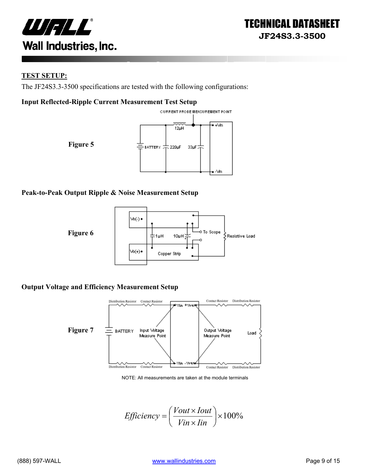



#### **TEST SETUP:**

The JF24S3.3-3500 specifications are tested with the following configurations:

#### **Input Reflected-Ripple Current Measurement Test Setup**



#### **Peak-to-Peak Output Ripple & Noise Measurement Setup**



#### **Output Voltage and Efficiency Measurement Setup**



NOTE: All measurements are taken at the module terminals

*Efficiency* = 
$$
\left(\frac{Vout \times Iout}{Vin \times lin}\right) \times 100\%
$$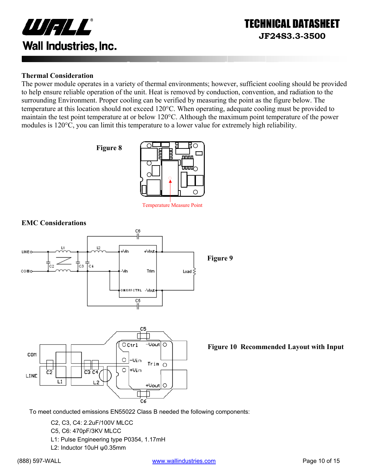

#### **Thermal Consideration**

The power module operates in a variety of thermal environments; however, sufficient cooling should be provided to help ensure reliable operation of the unit. Heat is removed by conduction, convention, and radiation to the surrounding Environment. Proper cooling can be verified by measuring the point as the figure below. The temperature at this location should not exceed 120°C. When operating, adequate cooling must be provided to maintain the test point temperature at or below 120°C. Although the maximum point temperature of the power modules is 120°C, you can limit this temperature to a lower value for extremely high reliability.





Temperature Measure Point



**Figure 10 Recommended Layout with Input** 

To meet conducted emissions EN55022 Class B needed the following components:

- C2, C3, C4: 2.2uF/100V MLCC
- C5, C6: 470pF/3KV MLCC
- L1: Pulse Engineering type P0354, 1.17mH
- L2: Inductor 10uH ψ0.35mm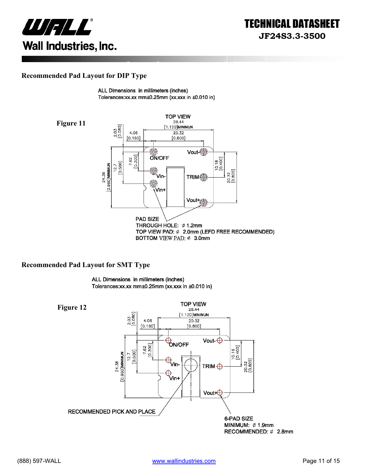

#### **Recommended Pad Layout for DIP Type**

ALL Dimensions in millimeters (inches) Tolerances:xx.xx mm±0.25mm (xx.xxx in ±0.010 in)



#### **Recommended Pad Layout for SMT Type**

ALL Dimensions in millimeters (inches) Tolerances:xx.xx mm±0.25mm (xx.xxx in ±0.010 in)

**TOP VIEW Figure 12** 28.44 2.03<br>[0.080] [1.120]MINIMUN 4.06 20.32  $[0.160]$  $[0.800]$ Vout- $\bigoplus$ **ÓN/OFF** 7.62<br>[0.300]  $[0.16$ <br> $[0.400]$  $12.7$  [0.500] 24.38<br>[0.960]**MINIMUN**  $\bigoplus$ <sub>Vin-</sub> 20.32<br>[0.800] TRIM $\bigoplus$ ⊕<br>Vin+ Vout+⊕ RECOMMENDED PICK AND PLACE 6-PAD SIZE MINIMUM: Ø 1.9mm RECOMMENDED: Ø 2.8mm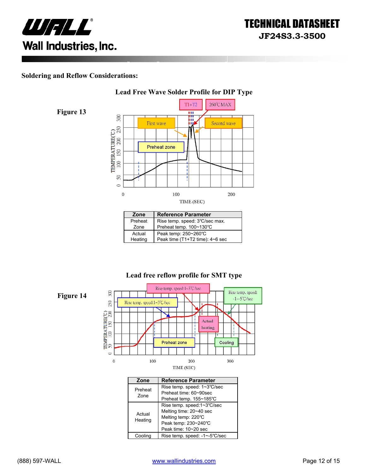

#### **Soldering and Reflow Considerations:**

**Figure 13** 



| Zone    | <b>Reference Parameter</b>      |
|---------|---------------------------------|
| Preheat | Rise temp. speed: 3°C/sec max.  |
| Zone    | Preheat temp. 100~130°C         |
| Actual  | Peak temp: 250~260°C            |
| Heating | Peak time (T1+T2 time): 4~6 sec |

#### **Lead free reflow profile for SMT type**



| Zone              | <b>Reference Parameter</b>                                                                                                   |  |
|-------------------|------------------------------------------------------------------------------------------------------------------------------|--|
| Preheat           | Rise temp. speed: 1~3°C/sec<br>Preheat time: 60~90sec                                                                        |  |
| Zone              | Preheat temp. 155~185°C                                                                                                      |  |
| Actual<br>Heating | Rise temp. speed:1~3°C/sec<br>Melting time: 20~40 sec<br>Melting temp: 220°C<br>Peak temp: 230~240°C<br>Peak time: 10~20 sec |  |
| Cooling           | Rise temp. speed: -1~-5°C/sec                                                                                                |  |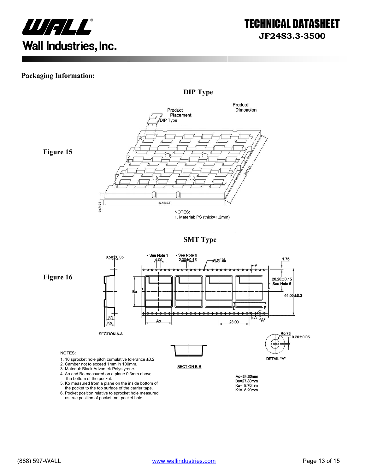

#### **Packaging Information:**



**Figure 15** 



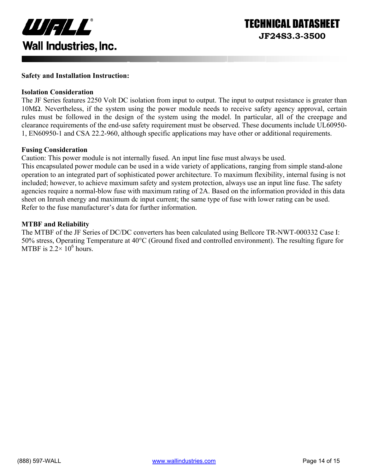

#### **Safety and Installation Instruction:**

#### **Isolation Consideration**

The JF Series features 2250 Volt DC isolation from input to output. The input to output resistance is greater than 10MΩ. Nevertheless, if the system using the power module needs to receive safety agency approval, certain rules must be followed in the design of the system using the model. In particular, all of the creepage and clearance requirements of the end-use safety requirement must be observed. These documents include UL60950- 1, EN60950-1 and CSA 22.2-960, although specific applications may have other or additional requirements.

#### **Fusing Consideration**

Caution: This power module is not internally fused. An input line fuse must always be used.

This encapsulated power module can be used in a wide variety of applications, ranging from simple stand-alone operation to an integrated part of sophisticated power architecture. To maximum flexibility, internal fusing is not included; however, to achieve maximum safety and system protection, always use an input line fuse. The safety agencies require a normal-blow fuse with maximum rating of 2A. Based on the information provided in this data sheet on Inrush energy and maximum dc input current; the same type of fuse with lower rating can be used. Refer to the fuse manufacturer's data for further information.

#### **MTBF and Reliability**

The MTBF of the JF Series of DC/DC converters has been calculated using Bellcore TR-NWT-000332 Case I: 50% stress, Operating Temperature at 40°C (Ground fixed and controlled environment). The resulting figure for MTBF is  $2.2 \times 10^6$  hours.